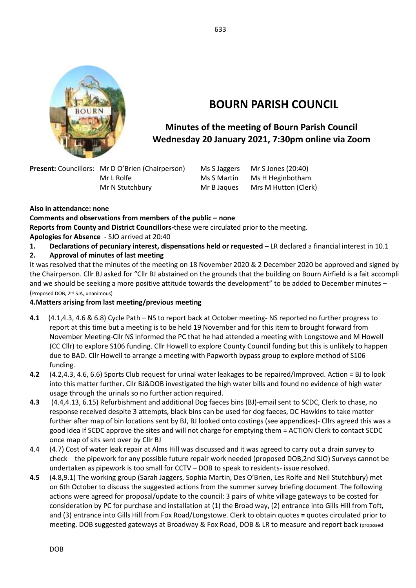

# **BOURN PARISH COUNCIL**

## **Minutes of the meeting of Bourn Parish Council Wednesday 20 January 2021, 7:30pm online via Zoom**

**Present:** Councillors: Mr D O'Brien (Chairperson) Ms S Jaggers Mr S Jones (20:40) Mr L Rolfe Ms S Martin Ms H Heginbotham Mr N Stutchbury Mr B Jaques Mrs M Hutton (Clerk)

**Also in attendance: none**

#### **Comments and observations from members of the public – none**

**Reports from County and District Councillors-**these were circulated prior to the meeting.

**Apologies for Absence** - SJO arrived at 20:40

**1. Declarations of pecuniary interest, dispensations held or requested –** LR declared a financial interest in 10.1

#### **2. Approval of minutes of last meeting**

It was resolved that the minutes of the meeting on 18 November 2020 & 2 December 2020 be approved and signed by the Chairperson. Cllr BJ asked for "Cllr BJ abstained on the grounds that the building on Bourn Airfield is a fait accompli and we should be seeking a more positive attitude towards the development" to be added to December minutes – (Proposed DOB, 2nd SJA, unanimous)

#### **4.Matters arising from last meeting/previous meeting**

- **4.1** (4.1,4.3, 4.6 & 6.8) Cycle Path NS to report back at October meeting- NS reported no further progress to report at this time but a meeting is to be held 19 November and for this item to brought forward from November Meeting-Cllr NS informed the PC that he had attended a meeting with Longstowe and M Howell (CC Cllr) to explore S106 funding. Cllr Howell to explore County Council funding but this is unlikely to happen due to BAD. Cllr Howell to arrange a meeting with Papworth bypass group to explore method of S106 funding.
- **4.2** (4.2,4.3, 4.6, 6.6) Sports Club request for urinal water leakages to be repaired/Improved. Action = BJ to look into this matter further**.** Cllr BJ&DOB investigated the high water bills and found no evidence of high water usage through the urinals so no further action required.
- **4.3** (4.4,4.13, 6.15) Refurbishment and additional Dog faeces bins (BJ)-email sent to SCDC, Clerk to chase, no response received despite 3 attempts, black bins can be used for dog faeces, DC Hawkins to take matter further after map of bin locations sent by BJ, BJ looked onto costings (see appendices)- Cllrs agreed this was a good idea if SCDC approve the sites and will not charge for emptying them = ACTION Clerk to contact SCDC once map of sits sent over by Cllr BJ
- 4.4 (4.7) Cost of water leak repair at Alms Hill was discussed and it was agreed to carry out a drain survey to check the pipework for any possible future repair work needed (proposed DOB,2nd SJO) Surveys cannot be undertaken as pipework is too small for CCTV – DOB to speak to residents- issue resolved.
- **4.5** (4.8**,**9.1) The working group (Sarah Jaggers, Sophia Martin, Des O'Brien, Les Rolfe and Neil Stutchbury) met on 6th October to discuss the suggested actions from the summer survey briefing document. The following actions were agreed for proposal/update to the council: 3 pairs of white village gateways to be costed for consideration by PC for purchase and installation at (1) the Broad way, (2) entrance into Gills Hill from Toft, and (3) entrance into Gills Hill from Fox Road/Longstowe. Clerk to obtain quotes **=** quotes circulated prior to meeting. DOB suggested gateways at Broadway & Fox Road, DOB & LR to measure and report back (proposed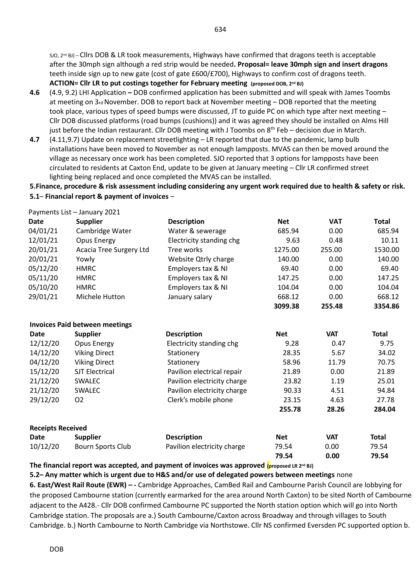SJO, 2<sup>nd</sup> BJ) – Cllrs DOB & LR took measurements, Highways have confirmed that dragons teeth is acceptable after the 30mph sign although a red strip would be needed**. Proposal= leave 30mph sign and insert dragons**  teeth inside sign up to new gate (cost of gate £600/£700), Highways to confirm cost of dragons teeth. **ACTION= Cllr LR to put costings together for February meeting (proposed DOB, 2nd BJ)**

- **4.6** (4.9, 9.2) LHI Application **–** DOB confirmed application has been submitted and will speak with James Toombs at meeting on 3rd November. DOB to report back at November meeting – DOB reported that the meeting took place, various types of speed bumps were discussed, JT to guide PC on which type after next meeting – Cllr DOB discussed platforms (road bumps (cushions)) and it was agreed they should be installed on Alms Hill just before the Indian restaurant. Cllr DOB meeting with J Toombs on  $8<sup>th</sup>$  Feb – decision due in March.
- **4.7** (4.11,9.7) Update on replacement streetlighting LR reported that due to the pandemic, lamp bulb installations have been moved to November as not enough lampposts. MVAS can then be moved around the village as necessary once work has been completed. SJO reported that 3 options for lampposts have been circulated to residents at Caxton End, update to be given at January meeting – Cllr LR confirmed street lighting being replaced and once completed the MVAS can be installed.

#### **5.Finance, procedure & risk assessment including considering any urgent work required due to health & safety or risk. 5.1**– **Financial report & payment of invoices** –

|                          | Payments List - January 2021          |                             |            |            |              |
|--------------------------|---------------------------------------|-----------------------------|------------|------------|--------------|
| <b>Date</b>              | <b>Supplier</b>                       | <b>Description</b>          | <b>Net</b> | <b>VAT</b> | <b>Total</b> |
| 04/01/21                 | Cambridge Water                       | Water & sewerage            | 685.94     | 0.00       | 685.94       |
| 12/01/21                 | Opus Energy                           | Electricity standing chg    | 9.63       | 0.48       | 10.11        |
| 20/01/21                 | Acacia Tree Surgery Ltd               | Tree works                  | 1275.00    | 255.00     | 1530.00      |
| 20/01/21                 | Yowly                                 | Website Qtrly charge        | 140.00     | 0.00       | 140.00       |
| 05/12/20                 | <b>HMRC</b>                           | Employers tax & NI          | 69.40      | 0.00       | 69.40        |
| 05/11/20                 | <b>HMRC</b>                           | Employers tax & NI          | 147.25     | 0.00       | 147.25       |
| 05/10/20                 | <b>HMRC</b>                           | Employers tax & NI          | 104.04     | 0.00       | 104.04       |
| 29/01/21                 | Michele Hutton                        | January salary              | 668.12     | 0.00       | 668.12       |
|                          |                                       |                             | 3099.38    | 255.48     | 3354.86      |
|                          | <b>Invoices Paid between meetings</b> |                             |            |            |              |
| <b>Date</b>              | <b>Supplier</b>                       | <b>Description</b>          | <b>Net</b> | <b>VAT</b> | <b>Total</b> |
| 12/12/20                 | Opus Energy                           | Electricity standing chg    | 9.28       | 0.47       | 9.75         |
| 14/12/20                 | <b>Viking Direct</b>                  | Stationery                  | 28.35      | 5.67       | 34.02        |
| 04/12/20                 | <b>Viking Direct</b>                  | Stationery                  | 58.96      | 11.79      | 70.75        |
| 15/12/20                 | <b>SJT Electrical</b>                 | Pavilion electrical repair  | 21.89      | 0.00       | 21.89        |
| 21/12/20                 | <b>SWALEC</b>                         | Pavilion electricity charge | 23.82      | 1.19       | 25.01        |
| 21/12/20                 | <b>SWALEC</b>                         | Pavilion electricity charge | 90.33      | 4.51       | 94.84        |
| 29/12/20                 | <b>O2</b>                             | Clerk's mobile phone        | 23.15      | 4.63       | 27.78        |
|                          |                                       |                             | 255.78     | 28.26      | 284.04       |
| <b>Receipts Received</b> |                                       |                             |            |            |              |
| <b>Date</b>              | <b>Supplier</b>                       | <b>Description</b>          | <b>Net</b> | <b>VAT</b> | <b>Total</b> |
| 10/12/20                 | <b>Bourn Sports Club</b>              | Pavilion electricity charge | 79.54      | 0.00       | 79.54        |
|                          |                                       |                             | 79.54      | 0.00       | 79.54        |

**The financial report was accepted, and payment of invoices was approved (proposed LR 2 nd BJ)**

**5.2– Any matter which is urgent due to H&S and/or use of delegated powers between meetings** none **6. East/West Rail Route (EWR) – -** Cambridge Approaches, CamBed Rail and Cambourne Parish Council are lobbying for the proposed Cambourne station (currently earmarked for the area around North Caxton) to be sited North of Cambourne adjacent to the A428.- Cllr DOB confirmed Cambourne PC supported the North station option which will go into North Cambridge station. The proposals are a.) South Cambourne/Caxton across Broadway and through villages to South Cambridge. b.) North Cambourne to North Cambridge via Northstowe. Cllr NS confirmed Eversden PC supported option b.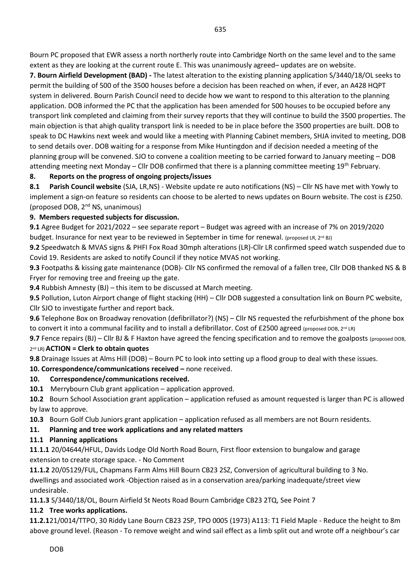Bourn PC proposed that EWR assess a north northerly route into Cambridge North on the same level and to the same extent as they are looking at the current route E. This was unanimously agreed– updates are on website.

**7. Bourn Airfield Development (BAD) -** The latest alteration to the existing planning application S/3440/18/OL seeks to permit the building of 500 of the 3500 houses before a decision has been reached on when, if ever, an A428 HQPT system in delivered. Bourn Parish Council need to decide how we want to respond to this alteration to the planning application. DOB informed the PC that the application has been amended for 500 houses to be occupied before any transport link completed and claiming from their survey reports that they will continue to build the 3500 properties. The main objection is that ahigh quality transport link is needed to be in place before the 3500 properties are built. DOB to speak to DC Hawkins next week and would like a meeting with Planning Cabinet members, SHJA invited to meeting, DOB to send details over. DOB waiting for a response from Mike Huntingdon and if decision needed a meeting of the planning group will be convened. SJO to convene a coalition meeting to be carried forward to January meeting – DOB attending meeting next Monday – Cllr DOB confirmed that there is a planning committee meeting 19th February.

#### **8. Reports on the progress of ongoing projects/issues**

**8.1 Parish Council website** (SJA, LR,NS) - Website update re auto notifications (NS) – Cllr NS have met with Yowly to implement a sign-on feature so residents can choose to be alerted to news updates on Bourn website. The cost is £250. (proposed DOB, 2nd NS, unanimous)

#### **9. Members requested subjects for discussion.**

**9.1** Agree Budget for 2021/2022 – see separate report – Budget was agreed with an increase of 7% on 2019/2020 budget. Insurance for next year to be reviewed in September in time for renewal. (proposed LR, 2<sup>nd</sup> BJ)

**9.2** Speedwatch & MVAS signs & PHFI Fox Road 30mph alterations (LR)-Cllr LR confirmed speed watch suspended due to Covid 19. Residents are asked to notify Council if they notice MVAS not working.

**9.3** Footpaths & kissing gate maintenance (DOB)- Cllr NS confirmed the removal of a fallen tree, Cllr DOB thanked NS & B Fryer for removing tree and freeing up the gate.

**9.4** Rubbish Amnesty (BJ) – this item to be discussed at March meeting.

**9.5** Pollution, Luton Airport change of flight stacking (HH) – Cllr DOB suggested a consultation link on Bourn PC website, Cllr SJO to investigate further and report back.

**9.6** Telephone Box on Broadway renovation (defibrillator?) (NS) – Cllr NS requested the refurbishment of the phone box to convert it into a communal facility and to install a defibrillator. Cost of £2500 agreed (proposed DOB, 2<sup>nd</sup> LR)

**9.7** Fence repairs (BJ) – Cllr BJ & F Haxton have agreed the fencing specification and to remove the goalposts (proposed DOB, 2 nd LR) **ACTION = Clerk to obtain quotes**

**9.8** Drainage Issues at Alms Hill (DOB) – Bourn PC to look into setting up a flood group to deal with these issues.

**10. Correspondence/communications received –** none received.

#### **10. Correspondence/communications received.**

**10.1** Merrybourn Club grant application – application approved.

**10.2** Bourn School Association grant application – application refused as amount requested is larger than PC is allowed by law to approve.

**10.3** Bourn Golf Club Juniors grant application – application refused as all members are not Bourn residents.

**11. Planning and tree work applications and any related matters**

#### **11.1 Planning applications**

**11**.**1.1** 20/04644/HFUL, Davids Lodge Old North Road Bourn, First floor extension to bungalow and garage extension to create storage space. - No Comment

**11.1.2** 20/05129/FUL, Chapmans Farm Alms Hill Bourn CB23 2SZ, Conversion of agricultural building to 3 No. dwellings and associated work -Objection raised as in a conservation area/parking inadequate/street view undesirable.

**11.1.3** S/3440/18/OL, Bourn Airfield St Neots Road Bourn Cambridge CB23 2TQ, See Point 7

#### **11.2 Tree works applications.**

**11.2.1**21/0014/TTPO, 30 Riddy Lane Bourn CB23 2SP, TPO 0005 (1973) A113: T1 Field Maple - Reduce the height to 8m above ground level. (Reason - To remove weight and wind sail effect as a limb split out and wrote off a neighbour's car